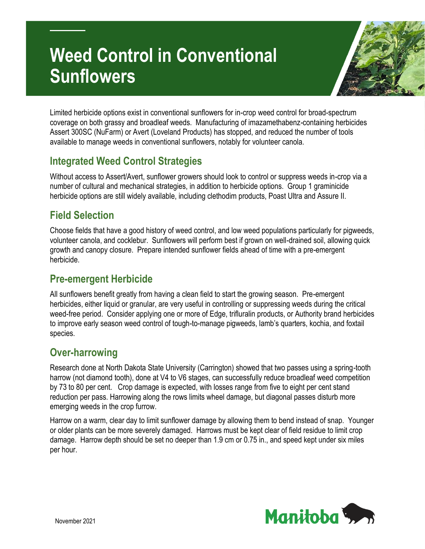# **Weed Control in Conventional Sunflowers**



Limited herbicide options exist in conventional sunflowers for in-crop weed control for broad-spectrum coverage on both grassy and broadleaf weeds. Manufacturing of imazamethabenz-containing herbicides Assert 300SC (NuFarm) or Avert (Loveland Products) has stopped, and reduced the number of tools available to manage weeds in conventional sunflowers, notably for volunteer canola.

#### **Integrated Weed Control Strategies**

Without access to Assert/Avert, sunflower growers should look to control or suppress weeds in-crop via a number of cultural and mechanical strategies, in addition to herbicide options. Group 1 graminicide herbicide options are still widely available, including clethodim products, Poast Ultra and Assure II.

#### **Field Selection**

Choose fields that have a good history of weed control, and low weed populations particularly for pigweeds, volunteer canola, and cocklebur. Sunflowers will perform best if grown on well-drained soil, allowing quick growth and canopy closure. Prepare intended sunflower fields ahead of time with a pre-emergent herbicide.

### **Pre-emergent Herbicide**

All sunflowers benefit greatly from having a clean field to start the growing season. Pre-emergent herbicides, either liquid or granular, are very useful in controlling or suppressing weeds during the critical weed-free period. Consider applying one or more of Edge, trifluralin products, or Authority brand herbicides to improve early season weed control of tough-to-manage pigweeds, lamb's quarters, kochia, and foxtail species.

#### **Over-harrowing**

Research done at North Dakota State University (Carrington) showed that two passes using a spring-tooth harrow (not diamond tooth), done at V4 to V6 stages, can successfully reduce broadleaf weed competition by 73 to 80 per cent. Crop damage is expected, with losses range from five to eight per cent stand reduction per pass. Harrowing along the rows limits wheel damage, but diagonal passes disturb more emerging weeds in the crop furrow.

Harrow on a warm, clear day to limit sunflower damage by allowing them to bend instead of snap. Younger or older plants can be more severely damaged. Harrows must be kept clear of field residue to limit crop damage. Harrow depth should be set no deeper than 1.9 cm or 0.75 in., and speed kept under six miles per hour.